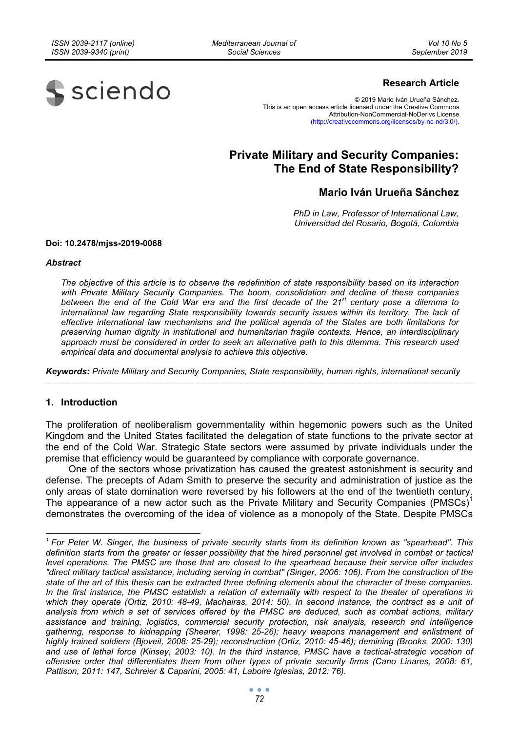*Mediterranean Journal of Social Sciences* 



## **Research Article**

© 2019 Mario Iván Urueña Sánchez. This is an open access article licensed under the Creative Commons Attribution-NonCommercial-NoDerivs License (http://creativecommons.org/licenses/by-nc-nd/3.0/).

# **Private Military and Security Companies: The End of State Responsibility?**

## **Mario Iván Urueña Sánchez**

*PhD in Law, Professor of International Law, Universidad del Rosario, Bogotá, Colombia* 

#### **Doi: 10.2478/mjss-2019-0068**

#### *Abstract*

*The objective of this article is to observe the redefinition of state responsibility based on its interaction with Private Military Security Companies. The boom, consolidation and decline of these companies between the end of the Cold War era and the first decade of the 21st century pose a dilemma to international law regarding State responsibility towards security issues within its territory. The lack of effective international law mechanisms and the political agenda of the States are both limitations for preserving human dignity in institutional and humanitarian fragile contexts. Hence, an interdisciplinary approach must be considered in order to seek an alternative path to this dilemma. This research used empirical data and documental analysis to achieve this objective.* 

*Keywords: Private Military and Security Companies, State responsibility, human rights, international security* 

#### **1. Introduction**

The proliferation of neoliberalism governmentality within hegemonic powers such as the United Kingdom and the United States facilitated the delegation of state functions to the private sector at the end of the Cold War. Strategic State sectors were assumed by private individuals under the premise that efficiency would be guaranteed by compliance with corporate governance.

One of the sectors whose privatization has caused the greatest astonishment is security and defense. The precepts of Adam Smith to preserve the security and administration of justice as the only areas of state domination were reversed by his followers at the end of the twentieth century. The appearance of a new actor such as the Private Military and Security Companies (PMSCs)<sup>1</sup> demonstrates the overcoming of the idea of violence as a monopoly of the State. Despite PMSCs

<sup>&</sup>lt;sup>1</sup> For Peter W. Singer, the business of private security starts from its definition known as "spearhead". This definition starts from the greater or lesser possibility that the hired personnel get involved in combat or tactical *level operations. The PMSC are those that are closest to the spearhead because their service offer includes "direct military tactical assistance, including serving in combat" (Singer, 2006: 106). From the construction of the state of the art of this thesis can be extracted three defining elements about the character of these companies.*  In the first instance, the PMSC establish a relation of externality with respect to the theater of operations in *which they operate (Ortiz, 2010: 48-49, Machairas, 2014: 50). In second instance, the contract as a unit of analysis from which a set of services offered by the PMSC are deduced, such as combat actions, military assistance and training, logistics, commercial security protection, risk analysis, research and intelligence gathering, response to kidnapping (Shearer, 1998: 25-26); heavy weapons management and enlistment of highly trained soldiers (Bjoveit, 2008: 25-29); reconstruction (Ortiz, 2010: 45-46); demining (Brooks, 2000: 130) and use of lethal force (Kinsey, 2003: 10). In the third instance, PMSC have a tactical-strategic vocation of offensive order that differentiates them from other types of private security firms (Cano Linares, 2008: 61, Pattison, 2011: 147, Schreier & Caparini, 2005: 41, Laboire Iglesias, 2012: 76).*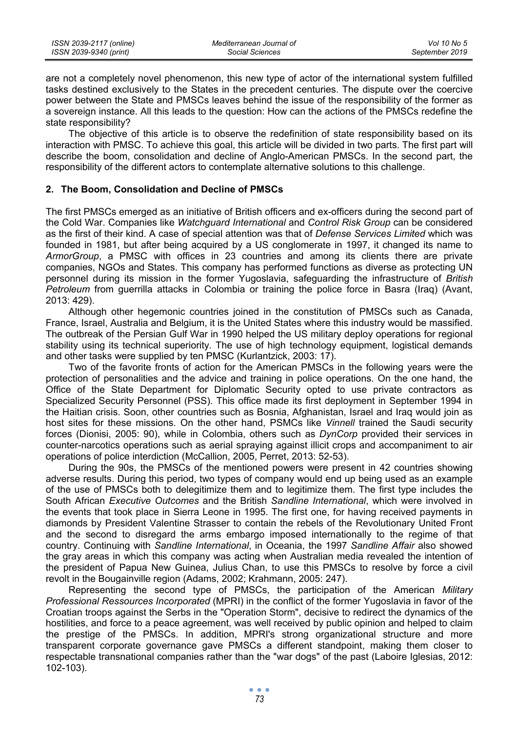are not a completely novel phenomenon, this new type of actor of the international system fulfilled tasks destined exclusively to the States in the precedent centuries. The dispute over the coercive power between the State and PMSCs leaves behind the issue of the responsibility of the former as a sovereign instance. All this leads to the question: How can the actions of the PMSCs redefine the state responsibility?

The objective of this article is to observe the redefinition of state responsibility based on its interaction with PMSC. To achieve this goal, this article will be divided in two parts. The first part will describe the boom, consolidation and decline of Anglo-American PMSCs. In the second part, the responsibility of the different actors to contemplate alternative solutions to this challenge.

## **2. The Boom, Consolidation and Decline of PMSCs**

The first PMSCs emerged as an initiative of British officers and ex-officers during the second part of the Cold War. Companies like *Watchguard International* and *Control Risk Group* can be considered as the first of their kind. A case of special attention was that of *Defense Services Limited* which was founded in 1981, but after being acquired by a US conglomerate in 1997, it changed its name to *ArmorGroup*, a PMSC with offices in 23 countries and among its clients there are private companies, NGOs and States. This company has performed functions as diverse as protecting UN personnel during its mission in the former Yugoslavia, safeguarding the infrastructure of *British Petroleum* from guerrilla attacks in Colombia or training the police force in Basra (Iraq) (Avant, 2013: 429).

Although other hegemonic countries joined in the constitution of PMSCs such as Canada, France, Israel, Australia and Belgium, it is the United States where this industry would be massified. The outbreak of the Persian Gulf War in 1990 helped the US military deploy operations for regional stability using its technical superiority. The use of high technology equipment, logistical demands and other tasks were supplied by ten PMSC (Kurlantzick, 2003: 17).

Two of the favorite fronts of action for the American PMSCs in the following years were the protection of personalities and the advice and training in police operations. On the one hand, the Office of the State Department for Diplomatic Security opted to use private contractors as Specialized Security Personnel (PSS). This office made its first deployment in September 1994 in the Haitian crisis. Soon, other countries such as Bosnia, Afghanistan, Israel and Iraq would join as host sites for these missions. On the other hand, PSMCs like *Vinnell* trained the Saudi security forces (Dionisi, 2005: 90), while in Colombia, others such as *DynCorp* provided their services in counter-narcotics operations such as aerial spraying against illicit crops and accompaniment to air operations of police interdiction (McCallion, 2005, Perret, 2013: 52-53).

During the 90s, the PMSCs of the mentioned powers were present in 42 countries showing adverse results. During this period, two types of company would end up being used as an example of the use of PMSCs both to delegitimize them and to legitimize them. The first type includes the South African *Executive Outcomes* and the British *Sandline International*, which were involved in the events that took place in Sierra Leone in 1995. The first one, for having received payments in diamonds by President Valentine Strasser to contain the rebels of the Revolutionary United Front and the second to disregard the arms embargo imposed internationally to the regime of that country. Continuing with *Sandline International*, in Oceania, the 1997 *Sandline Affair* also showed the gray areas in which this company was acting when Australian media revealed the intention of the president of Papua New Guinea, Julius Chan, to use this PMSCs to resolve by force a civil revolt in the Bougainville region (Adams, 2002; Krahmann, 2005: 247).

Representing the second type of PMSCs, the participation of the American *Military Professional Ressources Incorporated* (MPRI) in the conflict of the former Yugoslavia in favor of the Croatian troops against the Serbs in the "Operation Storm", decisive to redirect the dynamics of the hostilities, and force to a peace agreement, was well received by public opinion and helped to claim the prestige of the PMSCs. In addition, MPRI's strong organizational structure and more transparent corporate governance gave PMSCs a different standpoint, making them closer to respectable transnational companies rather than the "war dogs" of the past (Laboire Iglesias, 2012: 102-103).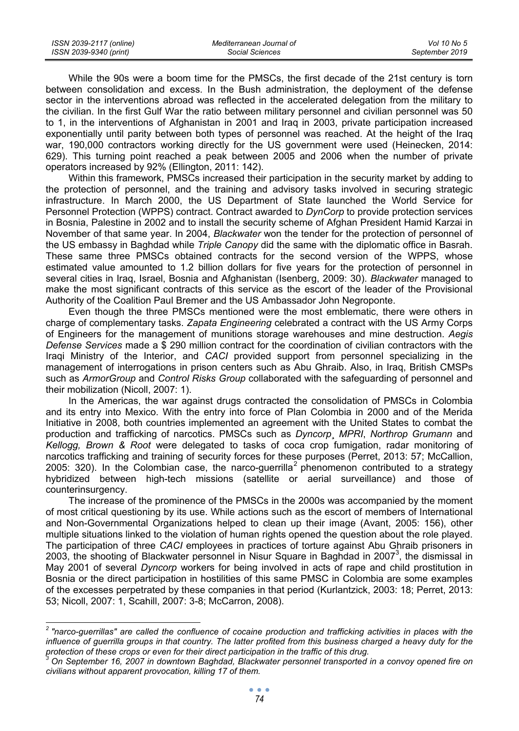| ISSN 2039-2117 (online) | Mediterranean Journal of | Vol 10 No 5    |
|-------------------------|--------------------------|----------------|
| ISSN 2039-9340 (print)  | Social Sciences          | September 2019 |

While the 90s were a boom time for the PMSCs, the first decade of the 21st century is torn between consolidation and excess. In the Bush administration, the deployment of the defense sector in the interventions abroad was reflected in the accelerated delegation from the military to the civilian. In the first Gulf War the ratio between military personnel and civilian personnel was 50 to 1, in the interventions of Afghanistan in 2001 and Iraq in 2003, private participation increased exponentially until parity between both types of personnel was reached. At the height of the Iraq war, 190,000 contractors working directly for the US government were used (Heinecken, 2014: 629). This turning point reached a peak between 2005 and 2006 when the number of private operators increased by 92% (Ellington, 2011: 142).

Within this framework, PMSCs increased their participation in the security market by adding to the protection of personnel, and the training and advisory tasks involved in securing strategic infrastructure. In March 2000, the US Department of State launched the World Service for Personnel Protection (WPPS) contract. Contract awarded to *DynCorp* to provide protection services in Bosnia, Palestine in 2002 and to install the security scheme of Afghan President Hamid Karzai in November of that same year. In 2004, *Blackwater* won the tender for the protection of personnel of the US embassy in Baghdad while *Triple Canopy* did the same with the diplomatic office in Basrah. These same three PMSCs obtained contracts for the second version of the WPPS, whose estimated value amounted to 1.2 billion dollars for five years for the protection of personnel in several cities in Iraq, Israel, Bosnia and Afghanistan (Isenberg, 2009: 30). *Blackwater* managed to make the most significant contracts of this service as the escort of the leader of the Provisional Authority of the Coalition Paul Bremer and the US Ambassador John Negroponte.

Even though the three PMSCs mentioned were the most emblematic, there were others in charge of complementary tasks. *Zapata Engineering* celebrated a contract with the US Army Corps of Engineers for the management of munitions storage warehouses and mine destruction. *Aegis Defense Services* made a \$ 290 million contract for the coordination of civilian contractors with the Iraqi Ministry of the Interior, and *CACI* provided support from personnel specializing in the management of interrogations in prison centers such as Abu Ghraib. Also, in Iraq, British CMSPs such as *ArmorGroup* and *Control Risks Group* collaborated with the safeguarding of personnel and their mobilization (Nicoll, 2007: 1).

In the Americas, the war against drugs contracted the consolidation of PMSCs in Colombia and its entry into Mexico. With the entry into force of Plan Colombia in 2000 and of the Merida Initiative in 2008, both countries implemented an agreement with the United States to combat the production and trafficking of narcotics. PMSCs such as *Dyncorp*¸ *MPRI*, *Northrop Grumann* and *Kellogg, Brown & Root* were delegated to tasks of coca crop fumigation, radar monitoring of narcotics trafficking and training of security forces for these purposes (Perret, 2013: 57; McCallion, 2005: 320). In the Colombian case, the narco-guerrilla<sup>2</sup> phenomenon contributed to a strategy hybridized between high-tech missions (satellite or aerial surveillance) and those of counterinsurgency.

The increase of the prominence of the PMSCs in the 2000s was accompanied by the moment of most critical questioning by its use. While actions such as the escort of members of International and Non-Governmental Organizations helped to clean up their image (Avant, 2005: 156), other multiple situations linked to the violation of human rights opened the question about the role played. The participation of three *CACI* employees in practices of torture against Abu Ghraib prisoners in 2003, the shooting of Blackwater personnel in Nisur Square in Baghdad in 2007<sup>3</sup>, the dismissal in May 2001 of several *Dyncorp* workers for being involved in acts of rape and child prostitution in Bosnia or the direct participation in hostilities of this same PMSC in Colombia are some examples of the excesses perpetrated by these companies in that period (Kurlantzick, 2003: 18; Perret, 2013: 53; Nicoll, 2007: 1, Scahill, 2007: 3-8; McCarron, 2008).

 *2 "narco-guerrillas" are called the confluence of cocaine production and trafficking activities in places with the influence of guerrilla groups in that country. The latter profited from this business charged a heavy duty for the protection of these crops or even for their direct participation in the traffic of this drug. 3*

*On September 16, 2007 in downtown Baghdad, Blackwater personnel transported in a convoy opened fire on civilians without apparent provocation, killing 17 of them.*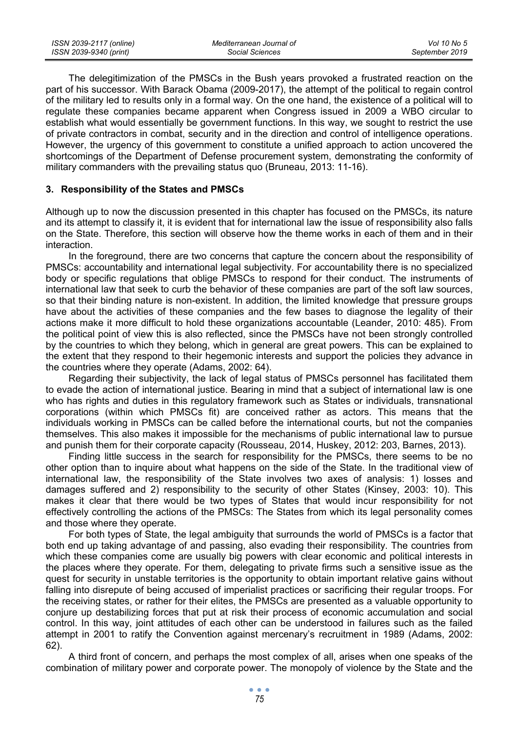| ISSN 2039-2117 (online) | Mediterranean Journal of | Vol 10 No 5    |
|-------------------------|--------------------------|----------------|
| ISSN 2039-9340 (print)  | Social Sciences          | September 2019 |

The delegitimization of the PMSCs in the Bush years provoked a frustrated reaction on the part of his successor. With Barack Obama (2009-2017), the attempt of the political to regain control of the military led to results only in a formal way. On the one hand, the existence of a political will to regulate these companies became apparent when Congress issued in 2009 a WBO circular to establish what would essentially be government functions. In this way, we sought to restrict the use of private contractors in combat, security and in the direction and control of intelligence operations. However, the urgency of this government to constitute a unified approach to action uncovered the shortcomings of the Department of Defense procurement system, demonstrating the conformity of military commanders with the prevailing status quo (Bruneau, 2013: 11-16).

## **3. Responsibility of the States and PMSCs**

Although up to now the discussion presented in this chapter has focused on the PMSCs, its nature and its attempt to classify it, it is evident that for international law the issue of responsibility also falls on the State. Therefore, this section will observe how the theme works in each of them and in their interaction.

In the foreground, there are two concerns that capture the concern about the responsibility of PMSCs: accountability and international legal subjectivity. For accountability there is no specialized body or specific regulations that oblige PMSCs to respond for their conduct. The instruments of international law that seek to curb the behavior of these companies are part of the soft law sources, so that their binding nature is non-existent. In addition, the limited knowledge that pressure groups have about the activities of these companies and the few bases to diagnose the legality of their actions make it more difficult to hold these organizations accountable (Leander, 2010: 485). From the political point of view this is also reflected, since the PMSCs have not been strongly controlled by the countries to which they belong, which in general are great powers. This can be explained to the extent that they respond to their hegemonic interests and support the policies they advance in the countries where they operate (Adams, 2002: 64).

Regarding their subjectivity, the lack of legal status of PMSCs personnel has facilitated them to evade the action of international justice. Bearing in mind that a subject of international law is one who has rights and duties in this regulatory framework such as States or individuals, transnational corporations (within which PMSCs fit) are conceived rather as actors. This means that the individuals working in PMSCs can be called before the international courts, but not the companies themselves. This also makes it impossible for the mechanisms of public international law to pursue and punish them for their corporate capacity (Rousseau, 2014, Huskey, 2012: 203, Barnes, 2013).

Finding little success in the search for responsibility for the PMSCs, there seems to be no other option than to inquire about what happens on the side of the State. In the traditional view of international law, the responsibility of the State involves two axes of analysis: 1) losses and damages suffered and 2) responsibility to the security of other States (Kinsey, 2003: 10). This makes it clear that there would be two types of States that would incur responsibility for not effectively controlling the actions of the PMSCs: The States from which its legal personality comes and those where they operate.

For both types of State, the legal ambiguity that surrounds the world of PMSCs is a factor that both end up taking advantage of and passing, also evading their responsibility. The countries from which these companies come are usually big powers with clear economic and political interests in the places where they operate. For them, delegating to private firms such a sensitive issue as the quest for security in unstable territories is the opportunity to obtain important relative gains without falling into disrepute of being accused of imperialist practices or sacrificing their regular troops. For the receiving states, or rather for their elites, the PMSCs are presented as a valuable opportunity to conjure up destabilizing forces that put at risk their process of economic accumulation and social control. In this way, joint attitudes of each other can be understood in failures such as the failed attempt in 2001 to ratify the Convention against mercenary's recruitment in 1989 (Adams, 2002: 62).

A third front of concern, and perhaps the most complex of all, arises when one speaks of the combination of military power and corporate power. The monopoly of violence by the State and the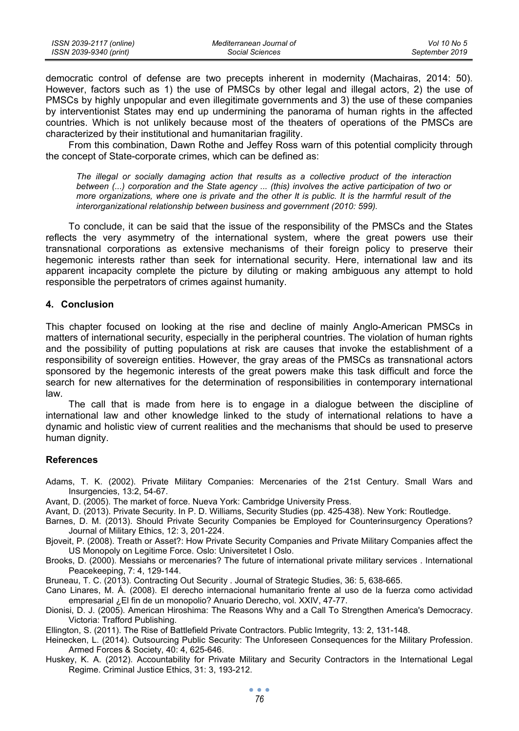| ISSN 2039-2117 (online) | Mediterranean Journal of | Vol 10 No 5    |
|-------------------------|--------------------------|----------------|
| ISSN 2039-9340 (print)  | Social Sciences          | September 2019 |

democratic control of defense are two precepts inherent in modernity (Machairas, 2014: 50). However, factors such as 1) the use of PMSCs by other legal and illegal actors, 2) the use of PMSCs by highly unpopular and even illegitimate governments and 3) the use of these companies by interventionist States may end up undermining the panorama of human rights in the affected countries. Which is not unlikely because most of the theaters of operations of the PMSCs are characterized by their institutional and humanitarian fragility.

From this combination, Dawn Rothe and Jeffey Ross warn of this potential complicity through the concept of State-corporate crimes, which can be defined as:

*The illegal or socially damaging action that results as a collective product of the interaction between (...) corporation and the State agency ... (this) involves the active participation of two or more organizations, where one is private and the other It is public. It is the harmful result of the interorganizational relationship between business and government (2010: 599).* 

To conclude, it can be said that the issue of the responsibility of the PMSCs and the States reflects the very asymmetry of the international system, where the great powers use their transnational corporations as extensive mechanisms of their foreign policy to preserve their hegemonic interests rather than seek for international security. Here, international law and its apparent incapacity complete the picture by diluting or making ambiguous any attempt to hold responsible the perpetrators of crimes against humanity.

## **4. Conclusion**

This chapter focused on looking at the rise and decline of mainly Anglo-American PMSCs in matters of international security, especially in the peripheral countries. The violation of human rights and the possibility of putting populations at risk are causes that invoke the establishment of a responsibility of sovereign entities. However, the gray areas of the PMSCs as transnational actors sponsored by the hegemonic interests of the great powers make this task difficult and force the search for new alternatives for the determination of responsibilities in contemporary international law.

The call that is made from here is to engage in a dialogue between the discipline of international law and other knowledge linked to the study of international relations to have a dynamic and holistic view of current realities and the mechanisms that should be used to preserve human dignity.

## **References**

Adams, T. K. (2002). Private Military Companies: Mercenaries of the 21st Century. Small Wars and Insurgencies, 13:2, 54-67.

Avant, D. (2005). The market of force. Nueva York: Cambridge University Press.

Avant, D. (2013). Private Security. In P. D. Williams, Security Studies (pp. 425-438). New York: Routledge.

- Barnes, D. M. (2013). Should Private Security Companies be Employed for Counterinsurgency Operations? Journal of Military Ethics, 12: 3, 201-224.
- Bjoveit, P. (2008). Treath or Asset?: How Private Security Companies and Private Military Companies affect the US Monopoly on Legitime Force. Oslo: Universitetet I Oslo.
- Brooks, D. (2000). Messiahs or mercenaries? The future of international private military services . International Peacekeeping, 7: 4, 129-144.

Bruneau, T. C. (2013). Contracting Out Security . Journal of Strategic Studies, 36: 5, 638-665.

- Cano Linares, M. Á. (2008). El derecho internacional humanitario frente al uso de la fuerza como actividad empresarial ¿El fin de un monopolio? Anuario Derecho, vol. XXIV, 47-77.
- Dionisi, D. J. (2005). American Hiroshima: The Reasons Why and a Call To Strengthen America's Democracy. Victoria: Trafford Publishing.

Ellington, S. (2011). The Rise of Battlefield Private Contractors. Public Imtegrity, 13: 2, 131-148.

- Heinecken, L. (2014). Outsourcing Public Security: The Unforeseen Consequences for the Military Profession. Armed Forces & Society, 40: 4, 625-646.
- Huskey, K. A. (2012). Accountability for Private Military and Security Contractors in the International Legal Regime. Criminal Justice Ethics, 31: 3, 193-212.